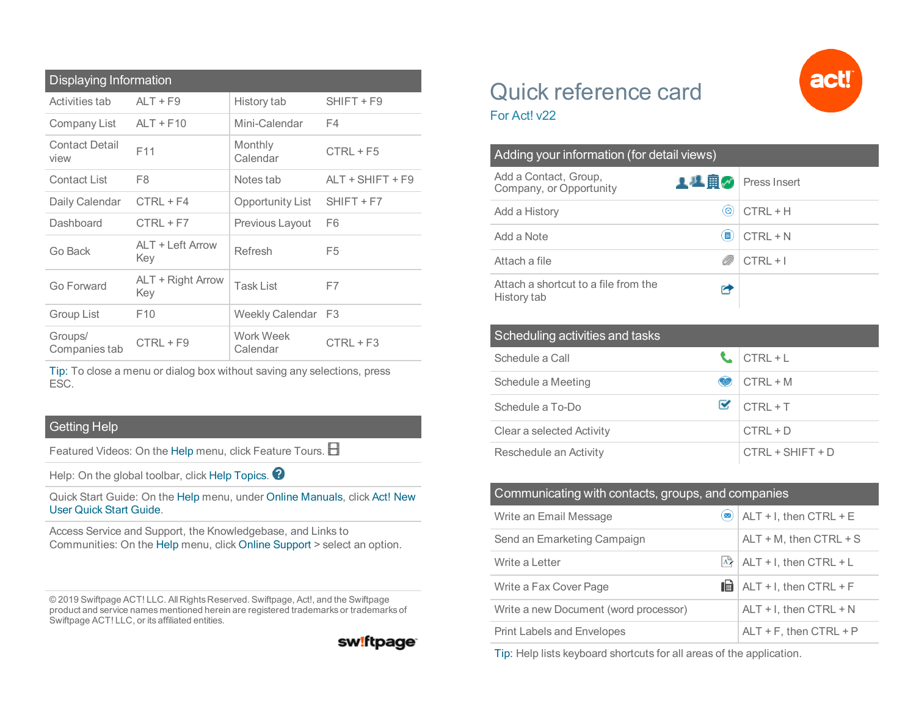| <b>Displaying Information</b> |                          |                       |                    |  |
|-------------------------------|--------------------------|-----------------------|--------------------|--|
| Activities tab                | $ALT + F9$               | History tab           | $SHIFT + F9$       |  |
| Company List                  | $ALT + F10$              | Mini-Calendar         | F4                 |  |
| <b>Contact Detail</b><br>view | F <sub>11</sub>          | Monthly<br>Calendar   | $CTRL + F5$        |  |
| Contact List                  | F8                       | Notes tab             | $ALT + SHIFT + F9$ |  |
| Daily Calendar                | $CTRL + F4$              | Opportunity List      | $SHIFT + F7$       |  |
| Dashboard                     | $CTRL + F7$              | Previous Layout       | F6                 |  |
| Go Back                       | ALT + Left Arrow<br>Key  | Refresh               | F <sub>5</sub>     |  |
| Go Forward                    | ALT + Right Arrow<br>Key | <b>Task List</b>      | F7                 |  |
| Group List                    | F <sub>10</sub>          | Weekly Calendar       | F <sub>3</sub>     |  |
| Groups/<br>Companies tab      | $CTRL + F9$              | Work Week<br>Calendar | $CTRL + F3$        |  |

Tip: To close a menu or dialog box without saving any selections, press ESC.

## Getting Help

Featured Videos: On the Help menu, click Feature Tours.  $\boxplus$ 

Help: On the global toolbar, click Help Topics.

Quick Start Guide: On the Help menu, under Online Manuals, click Act! New User Quick Start Guide.

Access Service and Support, the Knowledgebase, and Links to Communities: On the Help menu, click Online Support > select an option.

© 2019 Swiftpage ACT! LLC. All Rights Reserved. Swiftpage, Act!, and the Swiftpage product and service names mentioned herein are registered trademarks or trademarks of Swiftpage ACT! LLC, or its affiliated entities.

## sw!ftpage

## Quick reference card For Act! v22

| Adding your information (for detail views)          |      |              |  |  |
|-----------------------------------------------------|------|--------------|--|--|
| Add a Contact, Group,<br>Company, or Opportunity    | ▲丛園≪ | Press Insert |  |  |
| Add a History                                       | [ල]  | $CTRL + H$   |  |  |
| Add a Note                                          | Ħ    | $CTRL + N$   |  |  |
| Attach a file                                       |      | $CTRL + I$   |  |  |
| Attach a shortcut to a file from the<br>History tab |      |              |  |  |

| Scheduling activities and tasks |      |                    |  |  |
|---------------------------------|------|--------------------|--|--|
| Schedule a Call                 |      | $CTRL + L$         |  |  |
| Schedule a Meeting              | کیکا | $CTRL + M$         |  |  |
| Schedule a To-Do                | M    | $CTRI + T$         |  |  |
| Clear a selected Activity       |      | $CTRL + D$         |  |  |
| Reschedule an Activity          |      | $CTRL + SHIFT + D$ |  |  |

| Communicating with contacts, groups, and companies |                       |                           |  |
|----------------------------------------------------|-----------------------|---------------------------|--|
| Write an Email Message                             | $\boldsymbol{\times}$ | $ALT + I$ , then CTRL + E |  |
| Send an Emarketing Campaign                        |                       | $ALT + M$ , then CTRL + S |  |
| Write a Letter                                     | ۸Ż.                   | ALT + I, then CTRL + L    |  |
| Write a Fax Cover Page                             | 岫                     | ALT + I, then CTRL + F    |  |
| Write a new Document (word processor)              |                       | ALT + I, then CTRL + N    |  |
| <b>Print Labels and Envelopes</b>                  |                       | $ALT + F$ , then CTRL + P |  |

Tip: Help lists keyboard shortcuts for all areas of the application.